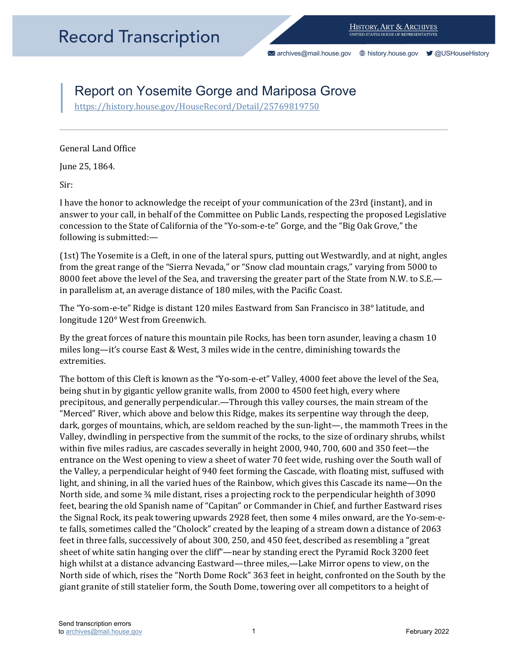[archives@mail.house.gov](mailto:archives@mail.house.gov) [history.house.gov](https://history.house.gov/) [@USHouseHistory](https://twitter.com/ushousehistory/) 

## Report on Yosemite Gorge and Mariposa Grove

https://history.house.gov/HouseRecord/Detail/25769819750<br>General Land Office

June 25, 1864.

Sir:

 concession to the State of California of the "Yo-som-e-te" Gorge, and the "Big Oak Grove," the I have the honor to acknowledge the receipt of your communication of the 23rd {instant}, and in answer to your call, in behalf of the Committee on Public Lands, respecting the proposed Legislative following is submitted:—

(1st) The Yosemite is a Cleft, in one of the lateral spurs, putting out Westwardly, and at night, angles from the great range of the "Sierra Nevada," or "Snow clad mountain crags," varying from 5000 to 8000 feet above the level of the Sea, and traversing the greater part of the State from N.W. to S.E. in parallelism at, an average distance of 180 miles, with the Pacific Coast.

The "Yo-som-e-te" Ridge is distant 120 miles Eastward from San Francisco in 38° latitude, and longitude 120° West from Greenwich.

By the great forces of nature this mountain pile Rocks, has been torn asunder, leaving a chasm 10 miles long—it's course East & West, 3 miles wide in the centre, diminishing towards the extremities.

 being shut in by gigantic yellow granite walls, from 2000 to 4500 feet high, every where dark, gorges of mountains, which, are seldom reached by the sun-light—, the mammoth Trees in the Valley, dwindling in perspective from the summit of the rocks, to the size of ordinary shrubs, whilst te falls, sometimes called the "Cholock" created by the leaping of a stream down a distance of 2063 North side of which, rises the "North Dome Rock" 363 feet in height, confronted on the South by the The bottom of this Cleft is known as the "Yo-som-e-et" Valley, 4000 feet above the level of the Sea, precipitous, and generally perpendicular.—Through this valley courses, the main stream of the "Merced" River, which above and below this Ridge, makes its serpentine way through the deep, within five miles radius, are cascades severally in height 2000, 940, 700, 600 and 350 feet—the entrance on the West opening to view a sheet of water 70 feet wide, rushing over the South wall of the Valley, a perpendicular height of 940 feet forming the Cascade, with floating mist, suffused with light, and shining, in all the varied hues of the Rainbow, which gives this Cascade its name—On the North side, and some  $\frac{3}{4}$  mile distant, rises a projecting rock to the perpendicular heighth of 3090 feet, bearing the old Spanish name of "Capitan" or Commander in Chief, and further Eastward rises the Signal Rock, its peak towering upwards 2928 feet, then some 4 miles onward, are the Yo-sem-efeet in three falls, successively of about 300, 250, and 450 feet, described as resembling a "great sheet of white satin hanging over the cliff"—near by standing erect the Pyramid Rock 3200 feet high whilst at a distance advancing Eastward—three miles,—Lake Mirror opens to view, on the giant granite of still statelier form, the South Dome, towering over all competitors to a height of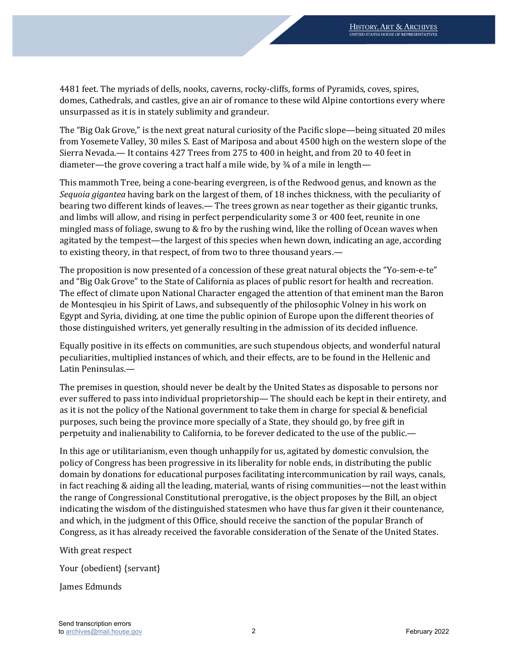unsurpassed as it is in stately sublimity and grandeur. 4481 feet. The myriads of dells, nooks, caverns, rocky-cliffs, forms of Pyramids, coves, spires, domes, Cathedrals, and castles, give an air of romance to these wild Alpine contortions every where

 The "Big Oak Grove," is the next great natural curiosity of the Pacific slope—being situated 20 miles from Yosemete Valley, 30 miles S. East of Mariposa and about 4500 high on the western slope of the Sierra Nevada.— It contains 427 Trees from 275 to 400 in height, and from 20 to 40 feet in diameter—the grove covering a tract half a mile wide, by ¾ of a mile in length—

 and limbs will allow, and rising in perfect perpendicularity some 3 or 400 feet, reunite in one to existing theory, in that respect, of from two to three thousand years.— This mammoth Tree, being a cone-bearing evergreen, is of the Redwood genus, and known as the *Sequoia gigantea* having bark on the largest of them, of 18 inches thickness, with the peculiarity of bearing two different kinds of leaves.— The trees grown as near together as their gigantic trunks, mingled mass of foliage, swung to & fro by the rushing wind, like the rolling of Ocean waves when agitated by the tempest—the largest of this species when hewn down, indicating an age, according

The proposition is now presented of a concession of these great natural objects the "Yo-sem-e-te" and "Big Oak Grove" to the State of California as places of public resort for health and recreation. The effect of climate upon National Character engaged the attention of that eminent man the Baron de Montesqieu in his Spirit of Laws, and subsequently of the philosophic Volney in his work on Egypt and Syria, dividing, at one time the public opinion of Europe upon the different theories of those distinguished writers, yet generally resulting in the admission of its decided influence.

 Equally positive in its effects on communities, are such stupendous objects, and wonderful natural peculiarities, multiplied instances of which, and their effects, are to be found in the Hellenic and Latin Peninsulas.—

The premises in question, should never be dealt by the United States as disposable to persons nor ever suffered to pass into individual proprietorship— The should each be kept in their entirety, and as it is not the policy of the National government to take them in charge for special & beneficial purposes, such being the province more specially of a State, they should go, by free gift in perpetuity and inalienability to California, to be forever dedicated to the use of the public.—

In this age or utilitarianism, even though unhappily for us, agitated by domestic convulsion, the policy of Congress has been progressive in its liberality for noble ends, in distributing the public domain by donations for educational purposes facilitating intercommunication by rail ways, canals, in fact reaching & aiding all the leading, material, wants of rising communities—not the least within the range of Congressional Constitutional prerogative, is the object proposes by the Bill, an object indicating the wisdom of the distinguished statesmen who have thus far given it their countenance, and which, in the judgment of this Office, should receive the sanction of the popular Branch of Congress, as it has already received the favorable consideration of the Senate of the United States.

With great respect

Your {obedient} {servant}

James Edmunds